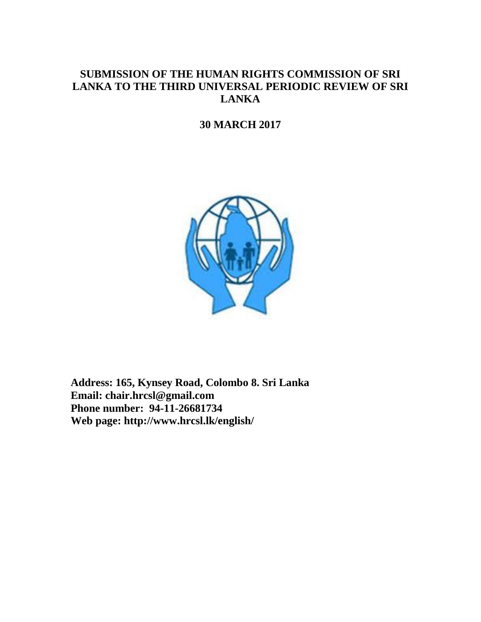# **SUBMISSION OF THE HUMAN RIGHTS COMMISSION OF SRI LANKA TO THE THIRD UNIVERSAL PERIODIC REVIEW OF SRI LANKA**

# **30 MARCH 2017**



**Address: 165, Kynsey Road, Colombo 8. Sri Lanka Email: chair.hrcsl@gmail.com Phone number: 94-11-26681734 Web page: http://www.hrcsl.lk/english/**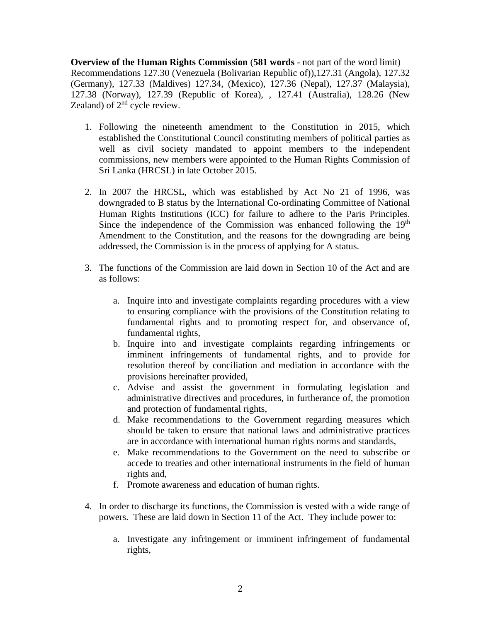**Overview of the Human Rights Commission** (**581 words** - not part of the word limit) Recommendations 127.30 (Venezuela (Bolivarian Republic of)),127.31 (Angola), 127.32 (Germany), 127.33 (Maldives) 127.34, (Mexico), 127.36 (Nepal), 127.37 (Malaysia), 127.38 (Norway), 127.39 (Republic of Korea), , 127.41 (Australia), 128.26 (New Zealand) of  $2<sup>nd</sup>$  cycle review.

- 1. Following the nineteenth amendment to the Constitution in 2015, which established the Constitutional Council constituting members of political parties as well as civil society mandated to appoint members to the independent commissions, new members were appointed to the Human Rights Commission of Sri Lanka (HRCSL) in late October 2015.
- 2. In 2007 the HRCSL, which was established by Act No 21 of 1996, was downgraded to B status by the International Co-ordinating Committee of National Human Rights Institutions (ICC) for failure to adhere to the Paris Principles. Since the independence of the Commission was enhanced following the  $19<sup>th</sup>$ Amendment to the Constitution, and the reasons for the downgrading are being addressed, the Commission is in the process of applying for A status.
- 3. The functions of the Commission are laid down in Section 10 of the Act and are as follows:
	- a. Inquire into and investigate complaints regarding procedures with a view to ensuring compliance with the provisions of the Constitution relating to fundamental rights and to promoting respect for, and observance of, fundamental rights,
	- b. Inquire into and investigate complaints regarding infringements or imminent infringements of fundamental rights, and to provide for resolution thereof by conciliation and mediation in accordance with the provisions hereinafter provided,
	- c. Advise and assist the government in formulating legislation and administrative directives and procedures, in furtherance of, the promotion and protection of fundamental rights,
	- d. Make recommendations to the Government regarding measures which should be taken to ensure that national laws and administrative practices are in accordance with international human rights norms and standards,
	- e. Make recommendations to the Government on the need to subscribe or accede to treaties and other international instruments in the field of human rights and,
	- f. Promote awareness and education of human rights.
- 4. In order to discharge its functions, the Commission is vested with a wide range of powers. These are laid down in Section 11 of the Act. They include power to:
	- a. Investigate any infringement or imminent infringement of fundamental rights,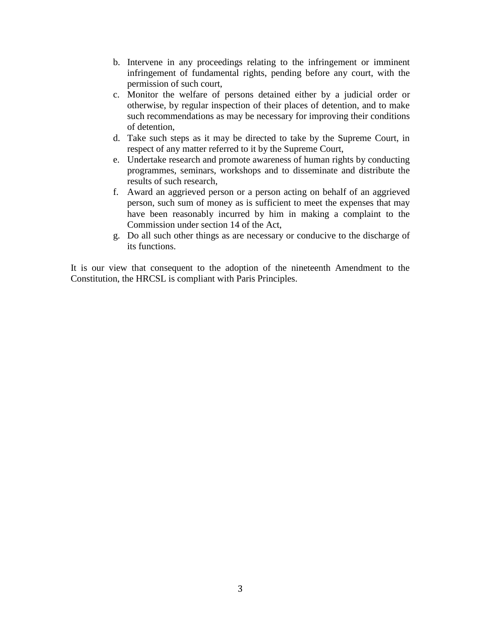- b. Intervene in any proceedings relating to the infringement or imminent infringement of fundamental rights, pending before any court, with the permission of such court,
- c. Monitor the welfare of persons detained either by a judicial order or otherwise, by regular inspection of their places of detention, and to make such recommendations as may be necessary for improving their conditions of detention,
- d. Take such steps as it may be directed to take by the Supreme Court, in respect of any matter referred to it by the Supreme Court,
- e. Undertake research and promote awareness of human rights by conducting programmes, seminars, workshops and to disseminate and distribute the results of such research,
- f. Award an aggrieved person or a person acting on behalf of an aggrieved person, such sum of money as is sufficient to meet the expenses that may have been reasonably incurred by him in making a complaint to the Commission under section 14 of the Act,
- g. Do all such other things as are necessary or conducive to the discharge of its functions.

It is our view that consequent to the adoption of the nineteenth Amendment to the Constitution, the HRCSL is compliant with Paris Principles.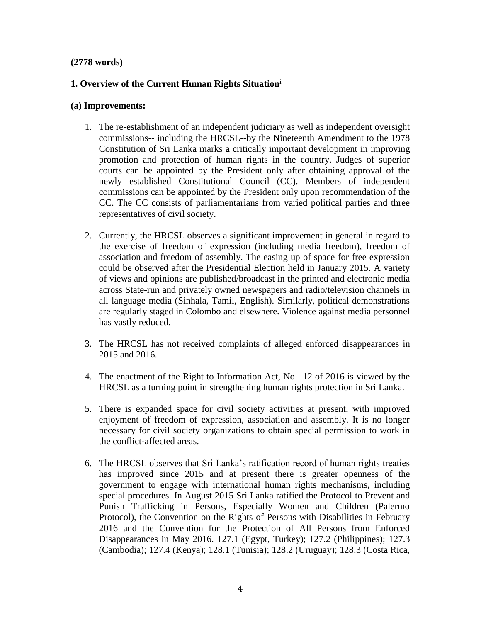# **(2778 words)**

# **1. Overview of the Current Human Rights Situation<sup>i</sup>**

# **(a) Improvements:**

- 1. The re-establishment of an independent judiciary as well as independent oversight commissions-- including the HRCSL--by the Nineteenth Amendment to the 1978 Constitution of Sri Lanka marks a critically important development in improving promotion and protection of human rights in the country. Judges of superior courts can be appointed by the President only after obtaining approval of the newly established Constitutional Council (CC). Members of independent commissions can be appointed by the President only upon recommendation of the CC. The CC consists of parliamentarians from varied political parties and three representatives of civil society.
- 2. Currently, the HRCSL observes a significant improvement in general in regard to the exercise of freedom of expression (including media freedom), freedom of association and freedom of assembly. The easing up of space for free expression could be observed after the Presidential Election held in January 2015. A variety of views and opinions are published/broadcast in the printed and electronic media across State-run and privately owned newspapers and radio/television channels in all language media (Sinhala, Tamil, English). Similarly, political demonstrations are regularly staged in Colombo and elsewhere. Violence against media personnel has vastly reduced.
- 3. The HRCSL has not received complaints of alleged enforced disappearances in 2015 and 2016.
- 4. The enactment of the Right to Information Act, No. 12 of 2016 is viewed by the HRCSL as a turning point in strengthening human rights protection in Sri Lanka.
- 5. There is expanded space for civil society activities at present, with improved enjoyment of freedom of expression, association and assembly. It is no longer necessary for civil society organizations to obtain special permission to work in the conflict-affected areas.
- 6. The HRCSL observes that Sri Lanka's ratification record of human rights treaties has improved since 2015 and at present there is greater openness of the government to engage with international human rights mechanisms, including special procedures. In August 2015 Sri Lanka ratified the Protocol to Prevent and Punish Trafficking in Persons, Especially Women and Children (Palermo Protocol), the Convention on the Rights of Persons with Disabilities in February 2016 and the Convention for the Protection of All Persons from Enforced Disappearances in May 2016. 127.1 (Egypt, Turkey); 127.2 (Philippines); 127.3 (Cambodia); 127.4 (Kenya); 128.1 (Tunisia); 128.2 (Uruguay); 128.3 (Costa Rica,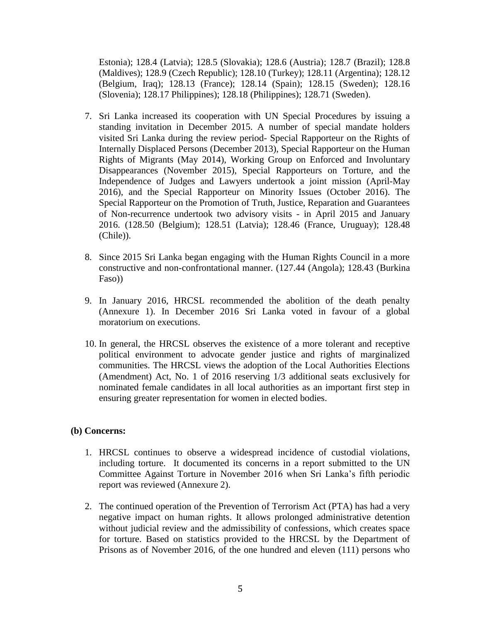Estonia); 128.4 (Latvia); 128.5 (Slovakia); 128.6 (Austria); 128.7 (Brazil); 128.8 (Maldives); 128.9 (Czech Republic); 128.10 (Turkey); 128.11 (Argentina); 128.12 (Belgium, Iraq); 128.13 (France); 128.14 (Spain); 128.15 (Sweden); 128.16 (Slovenia); 128.17 Philippines); 128.18 (Philippines); 128.71 (Sweden).

- 7. Sri Lanka increased its cooperation with UN Special Procedures by issuing a standing invitation in December 2015. A number of special mandate holders visited Sri Lanka during the review period- Special Rapporteur on the Rights of Internally Displaced Persons (December 2013), Special Rapporteur on the Human Rights of Migrants (May 2014), Working Group on Enforced and Involuntary Disappearances (November 2015), Special Rapporteurs on Torture, and the Independence of Judges and Lawyers undertook a joint mission (April-May 2016), and the Special Rapporteur on Minority Issues (October 2016). The Special Rapporteur on the Promotion of Truth, Justice, Reparation and Guarantees of Non-recurrence undertook two advisory visits - in April 2015 and January 2016. (128.50 (Belgium); 128.51 (Latvia); 128.46 (France, Uruguay); 128.48 (Chile)).
- 8. Since 2015 Sri Lanka began engaging with the Human Rights Council in a more constructive and non-confrontational manner. (127.44 (Angola); 128.43 (Burkina Faso))
- 9. In January 2016, HRCSL recommended the abolition of the death penalty (Annexure 1). In December 2016 Sri Lanka voted in favour of a global moratorium on executions.
- 10. In general, the HRCSL observes the existence of a more tolerant and receptive political environment to advocate gender justice and rights of marginalized communities. The HRCSL views the adoption of the Local Authorities Elections (Amendment) Act, No. 1 of 2016 reserving 1/3 additional seats exclusively for nominated female candidates in all local authorities as an important first step in ensuring greater representation for women in elected bodies.

#### **(b) Concerns:**

- 1. HRCSL continues to observe a widespread incidence of custodial violations, including torture. It documented its concerns in a report submitted to the UN Committee Against Torture in November 2016 when Sri Lanka's fifth periodic report was reviewed (Annexure 2).
- 2. The continued operation of the Prevention of Terrorism Act (PTA) has had a very negative impact on human rights. It allows prolonged administrative detention without judicial review and the admissibility of confessions, which creates space for torture. Based on statistics provided to the HRCSL by the Department of Prisons as of November 2016, of the one hundred and eleven (111) persons who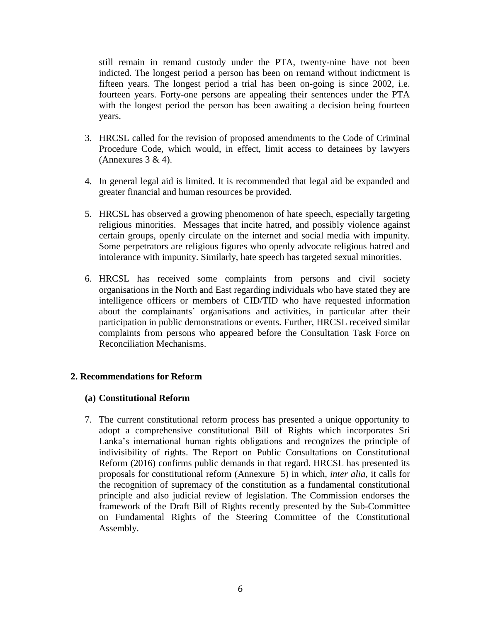still remain in remand custody under the PTA, twenty-nine have not been indicted. The longest period a person has been on remand without indictment is fifteen years. The longest period a trial has been on-going is since 2002, i.e. fourteen years. Forty-one persons are appealing their sentences under the PTA with the longest period the person has been awaiting a decision being fourteen years.

- 3. HRCSL called for the revision of proposed amendments to the Code of Criminal Procedure Code, which would, in effect, limit access to detainees by lawyers (Annexures  $3 & 4$ ).
- 4. In general legal aid is limited. It is recommended that legal aid be expanded and greater financial and human resources be provided.
- 5. HRCSL has observed a growing phenomenon of hate speech, especially targeting religious minorities. Messages that incite hatred, and possibly violence against certain groups, openly circulate on the internet and social media with impunity. Some perpetrators are religious figures who openly advocate religious hatred and intolerance with impunity. Similarly, hate speech has targeted sexual minorities.
- 6. HRCSL has received some complaints from persons and civil society organisations in the North and East regarding individuals who have stated they are intelligence officers or members of CID/TID who have requested information about the complainants' organisations and activities, in particular after their participation in public demonstrations or events. Further, HRCSL received similar complaints from persons who appeared before the Consultation Task Force on Reconciliation Mechanisms.

## **2. Recommendations for Reform**

#### **(a) Constitutional Reform**

7. The current constitutional reform process has presented a unique opportunity to adopt a comprehensive constitutional Bill of Rights which incorporates Sri Lanka's international human rights obligations and recognizes the principle of indivisibility of rights. The Report on Public Consultations on Constitutional Reform (2016) confirms public demands in that regard. HRCSL has presented its proposals for constitutional reform (Annexure 5) in which, *inter alia,* it calls for the recognition of supremacy of the constitution as a fundamental constitutional principle and also judicial review of legislation. The Commission endorses the framework of the Draft Bill of Rights recently presented by the Sub-Committee on Fundamental Rights of the Steering Committee of the Constitutional Assembly.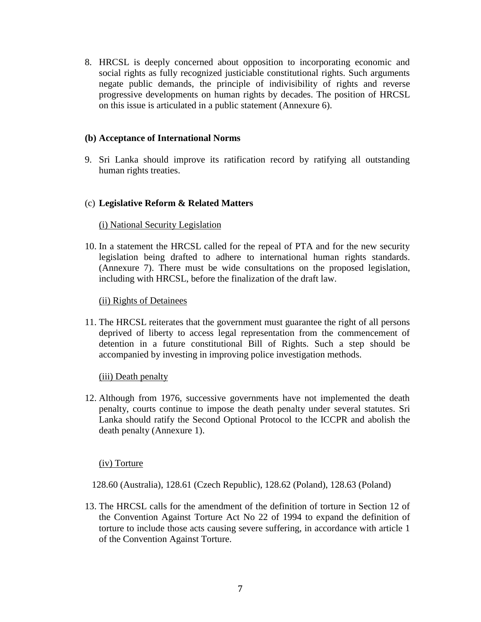8. HRCSL is deeply concerned about opposition to incorporating economic and social rights as fully recognized justiciable constitutional rights. Such arguments negate public demands, the principle of indivisibility of rights and reverse progressive developments on human rights by decades. The position of HRCSL on this issue is articulated in a public statement (Annexure 6).

## **(b) Acceptance of International Norms**

9. Sri Lanka should improve its ratification record by ratifying all outstanding human rights treaties.

#### (c) **Legislative Reform & Related Matters**

#### (i) National Security Legislation

10. In a statement the HRCSL called for the repeal of PTA and for the new security legislation being drafted to adhere to international human rights standards. (Annexure 7). There must be wide consultations on the proposed legislation, including with HRCSL, before the finalization of the draft law.

#### (ii) Rights of Detainees

11. The HRCSL reiterates that the government must guarantee the right of all persons deprived of liberty to access legal representation from the commencement of detention in a future constitutional Bill of Rights. Such a step should be accompanied by investing in improving police investigation methods.

#### (iii) Death penalty

12. Although from 1976, successive governments have not implemented the death penalty, courts continue to impose the death penalty under several statutes. Sri Lanka should ratify the Second Optional Protocol to the ICCPR and abolish the death penalty (Annexure 1).

#### (iv) Torture

128.60 (Australia), 128.61 (Czech Republic), 128.62 (Poland), 128.63 (Poland)

13. The HRCSL calls for the amendment of the definition of torture in Section 12 of the Convention Against Torture Act No 22 of 1994 to expand the definition of torture to include those acts causing severe suffering, in accordance with article 1 of the Convention Against Torture.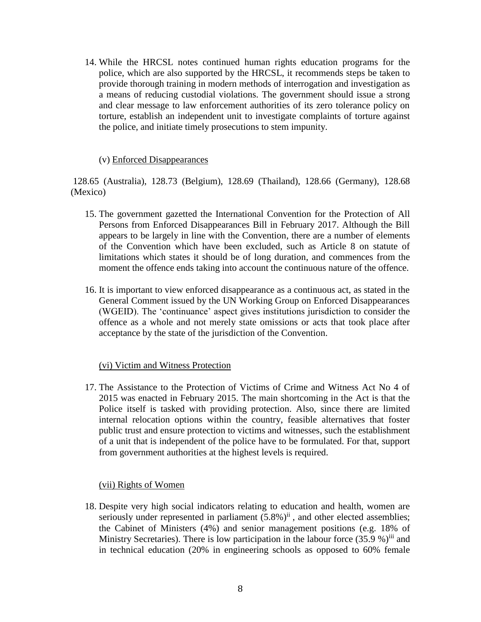14. While the HRCSL notes continued human rights education programs for the police, which are also supported by the HRCSL, it recommends steps be taken to provide thorough training in modern methods of interrogation and investigation as a means of reducing custodial violations. The government should issue a strong and clear message to law enforcement authorities of its zero tolerance policy on torture, establish an independent unit to investigate complaints of torture against the police, and initiate timely prosecutions to stem impunity.

## (v) Enforced Disappearances

128.65 (Australia), 128.73 (Belgium), 128.69 (Thailand), 128.66 (Germany), 128.68 (Mexico)

- 15. The government gazetted the International Convention for the Protection of All Persons from Enforced Disappearances Bill in February 2017. Although the Bill appears to be largely in line with the Convention, there are a number of elements of the Convention which have been excluded, such as Article 8 on statute of limitations which states it should be of long duration, and commences from the moment the offence ends taking into account the continuous nature of the offence.
- 16. It is important to view enforced disappearance as a continuous act, as stated in the General Comment issued by the UN Working Group on Enforced Disappearances (WGEID). The 'continuance' aspect gives institutions jurisdiction to consider the offence as a whole and not merely state omissions or acts that took place after acceptance by the state of the jurisdiction of the Convention.

## (vi) Victim and Witness Protection

17. The Assistance to the Protection of Victims of Crime and Witness Act No 4 of 2015 was enacted in February 2015. The main shortcoming in the Act is that the Police itself is tasked with providing protection. Also, since there are limited internal relocation options within the country, feasible alternatives that foster public trust and ensure protection to victims and witnesses, such the establishment of a unit that is independent of the police have to be formulated. For that, support from government authorities at the highest levels is required.

## (vii) Rights of Women

18. Despite very high social indicators relating to education and health, women are seriously under represented in parliament  $(5.8\%)$ <sup>ii</sup>, and other elected assemblies; the Cabinet of Ministers (4%) and senior management positions (e.g. 18% of Ministry Secretaries). There is low participation in the labour force  $(35.9\%)$ <sup>iii</sup> and in technical education (20% in engineering schools as opposed to 60% female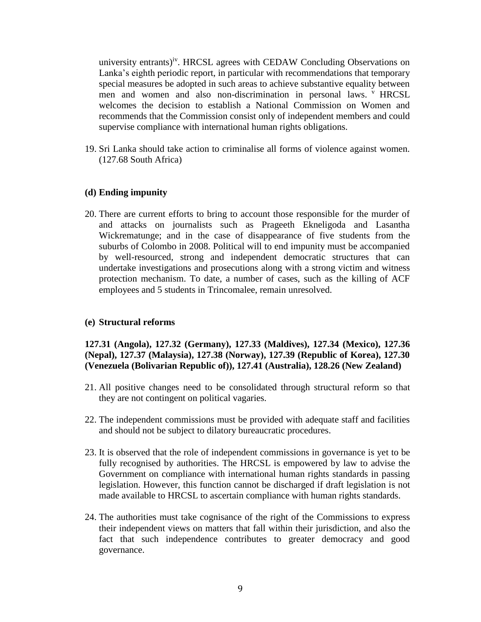university entrants)<sup>iv</sup>. HRCSL agrees with CEDAW Concluding Observations on Lanka's eighth periodic report, in particular with recommendations that temporary special measures be adopted in such areas to achieve substantive equality between men and women and also non-discrimination in personal laws. <sup>v</sup> HRCSL welcomes the decision to establish a National Commission on Women and recommends that the Commission consist only of independent members and could supervise compliance with international human rights obligations.

19. Sri Lanka should take action to criminalise all forms of violence against women. (127.68 South Africa)

## **(d) Ending impunity**

20. There are current efforts to bring to account those responsible for the murder of and attacks on journalists such as Prageeth Ekneligoda and Lasantha Wickrematunge; and in the case of disappearance of five students from the suburbs of Colombo in 2008. Political will to end impunity must be accompanied by well-resourced, strong and independent democratic structures that can undertake investigations and prosecutions along with a strong victim and witness protection mechanism. To date, a number of cases, such as the killing of ACF employees and 5 students in Trincomalee, remain unresolved.

#### **(e) Structural reforms**

**127.31 (Angola), 127.32 (Germany), 127.33 (Maldives), 127.34 (Mexico), 127.36 (Nepal), 127.37 (Malaysia), 127.38 (Norway), 127.39 (Republic of Korea), 127.30 (Venezuela (Bolivarian Republic of)), 127.41 (Australia), 128.26 (New Zealand)**

- 21. All positive changes need to be consolidated through structural reform so that they are not contingent on political vagaries.
- 22. The independent commissions must be provided with adequate staff and facilities and should not be subject to dilatory bureaucratic procedures.
- 23. It is observed that the role of independent commissions in governance is yet to be fully recognised by authorities. The HRCSL is empowered by law to advise the Government on compliance with international human rights standards in passing legislation. However, this function cannot be discharged if draft legislation is not made available to HRCSL to ascertain compliance with human rights standards.
- 24. The authorities must take cognisance of the right of the Commissions to express their independent views on matters that fall within their jurisdiction, and also the fact that such independence contributes to greater democracy and good governance.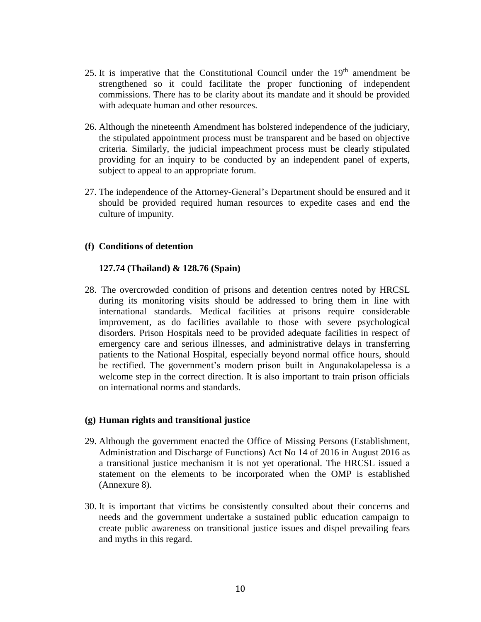- 25. It is imperative that the Constitutional Council under the  $19<sup>th</sup>$  amendment be strengthened so it could facilitate the proper functioning of independent commissions. There has to be clarity about its mandate and it should be provided with adequate human and other resources.
- 26. Although the nineteenth Amendment has bolstered independence of the judiciary, the stipulated appointment process must be transparent and be based on objective criteria. Similarly, the judicial impeachment process must be clearly stipulated providing for an inquiry to be conducted by an independent panel of experts, subject to appeal to an appropriate forum.
- 27. The independence of the Attorney-General's Department should be ensured and it should be provided required human resources to expedite cases and end the culture of impunity.

## **(f) Conditions of detention**

## **127.74 (Thailand) & 128.76 (Spain)**

28. The overcrowded condition of prisons and detention centres noted by HRCSL during its monitoring visits should be addressed to bring them in line with international standards. Medical facilities at prisons require considerable improvement, as do facilities available to those with severe psychological disorders. Prison Hospitals need to be provided adequate facilities in respect of emergency care and serious illnesses, and administrative delays in transferring patients to the National Hospital, especially beyond normal office hours, should be rectified. The government's modern prison built in Angunakolapelessa is a welcome step in the correct direction. It is also important to train prison officials on international norms and standards.

## **(g) Human rights and transitional justice**

- 29. Although the government enacted the Office of Missing Persons (Establishment, Administration and Discharge of Functions) Act No 14 of 2016 in August 2016 as a transitional justice mechanism it is not yet operational. The HRCSL issued a statement on the elements to be incorporated when the OMP is established (Annexure 8).
- 30. It is important that victims be consistently consulted about their concerns and needs and the government undertake a sustained public education campaign to create public awareness on transitional justice issues and dispel prevailing fears and myths in this regard.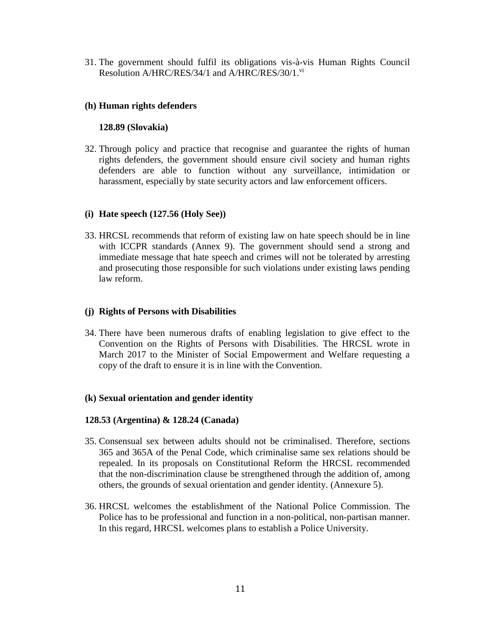31. The government should fulfil its obligations vis-à-vis Human Rights Council Resolution A/HRC/RES/34/1 and A/HRC/RES/30/1.<sup>vi</sup>

# **(h) Human rights defenders**

# **128.89 (Slovakia)**

32. Through policy and practice that recognise and guarantee the rights of human rights defenders, the government should ensure civil society and human rights defenders are able to function without any surveillance, intimidation or harassment, especially by state security actors and law enforcement officers.

# **(i) Hate speech (127.56 (Holy See))**

33. HRCSL recommends that reform of existing law on hate speech should be in line with ICCPR standards (Annex 9). The government should send a strong and immediate message that hate speech and crimes will not be tolerated by arresting and prosecuting those responsible for such violations under existing laws pending law reform.

## **(j) Rights of Persons with Disabilities**

34. There have been numerous drafts of enabling legislation to give effect to the Convention on the Rights of Persons with Disabilities. The HRCSL wrote in March 2017 to the Minister of Social Empowerment and Welfare requesting a copy of the draft to ensure it is in line with the Convention.

## **(k) Sexual orientation and gender identity**

## **128.53 (Argentina) & 128.24 (Canada)**

- 35. Consensual sex between adults should not be criminalised. Therefore, sections 365 and 365A of the Penal Code, which criminalise same sex relations should be repealed. In its proposals on Constitutional Reform the HRCSL recommended that the non-discrimination clause be strengthened through the addition of, among others, the grounds of sexual orientation and gender identity. (Annexure 5).
- 36. HRCSL welcomes the establishment of the National Police Commission. The Police has to be professional and function in a non-political, non-partisan manner. In this regard, HRCSL welcomes plans to establish a Police University.